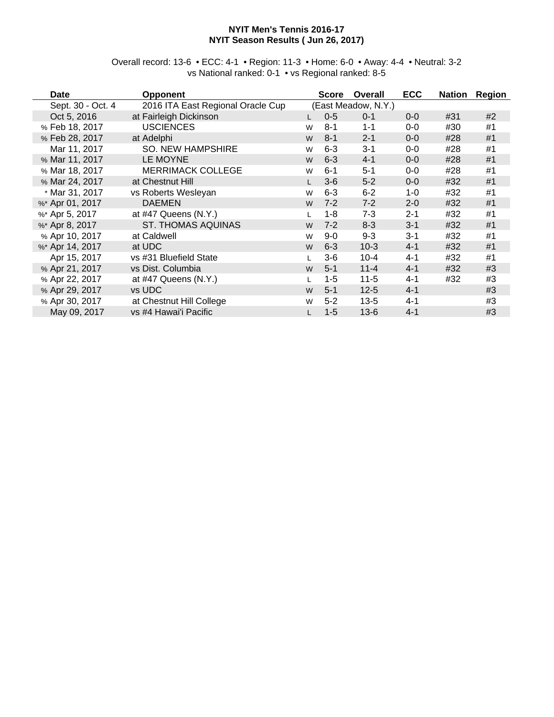#### **NYIT Men's Tennis 2016-17 NYIT Season Results ( Jun 26, 2017)**

Overall record: 13-6 • ECC: 4-1 • Region: 11-3 • Home: 6-0 • Away: 4-4 • Neutral: 3-2 vs National ranked: 0-1 • vs Regional ranked: 8-5

| <b>Date</b>       | <b>Opponent</b>                   |   | <b>Score</b> | Overall             | <b>ECC</b> | <b>Nation</b> | <b>Region</b> |
|-------------------|-----------------------------------|---|--------------|---------------------|------------|---------------|---------------|
| Sept. 30 - Oct. 4 | 2016 ITA East Regional Oracle Cup |   |              | (East Meadow, N.Y.) |            |               |               |
| Oct 5, 2016       | at Fairleigh Dickinson            |   | $0-5$        | $0 - 1$             | $0 - 0$    | #31           | #2            |
| % Feb 18, 2017    | <b>USCIENCES</b>                  | W | $8 - 1$      | $1 - 1$             | $0-0$      | #30           | #1            |
| % Feb 28, 2017    | at Adelphi                        | W | $8 - 1$      | $2 - 1$             | $0-0$      | #28           | #1            |
| Mar 11, 2017      | <b>SO. NEW HAMPSHIRE</b>          | W | $6 - 3$      | $3 - 1$             | $0-0$      | #28           | #1            |
| % Mar 11, 2017    | LE MOYNE                          | W | $6 - 3$      | $4 - 1$             | $0-0$      | #28           | #1            |
| % Mar 18, 2017    | <b>MERRIMACK COLLEGE</b>          | W | $6 - 1$      | $5 - 1$             | $0-0$      | #28           | #1            |
| % Mar 24, 2017    | at Chestnut Hill                  |   | $3-6$        | $5 - 2$             | $0 - 0$    | #32           | #1            |
| * Mar 31, 2017    | vs Roberts Wesleyan               | W | $6 - 3$      | $6 - 2$             | $1 - 0$    | #32           | #1            |
| %* Apr 01, 2017   | <b>DAEMEN</b>                     | W | $7 - 2$      | $7 - 2$             | $2 - 0$    | #32           | #1            |
| %* Apr 5, 2017    | at $#47$ Queens $(N.Y.)$          |   | 1-8          | 7-3                 | $2 - 1$    | #32           | #1            |
| %* Apr 8, 2017    | <b>ST. THOMAS AQUINAS</b>         | W | $7 - 2$      | $8 - 3$             | $3 - 1$    | #32           | #1            |
| % Apr 10, 2017    | at Caldwell                       | W | $9-0$        | $9 - 3$             | $3 - 1$    | #32           | #1            |
| %* Apr 14, 2017   | at UDC                            | W | $6 - 3$      | $10-3$              | $4 - 1$    | #32           | #1            |
| Apr 15, 2017      | vs #31 Bluefield State            |   | $3-6$        | $10 - 4$            | $4 - 1$    | #32           | #1            |
| % Apr 21, 2017    | vs Dist. Columbia                 | W | $5 - 1$      | $11 - 4$            | $4 - 1$    | #32           | #3            |
| % Apr 22, 2017    | at #47 Queens (N.Y.)              |   | $1 - 5$      | $11 - 5$            | $4 - 1$    | #32           | #3            |
| % Apr 29, 2017    | vs UDC                            | W | $5 - 1$      | $12 - 5$            | $4 - 1$    |               | #3            |
| % Apr 30, 2017    | at Chestnut Hill College          | W | $5-2$        | $13 - 5$            | $4 - 1$    |               | #3            |
| May 09, 2017      | vs #4 Hawai'i Pacific             |   | $1 - 5$      | $13-6$              | $4 - 1$    |               | #3            |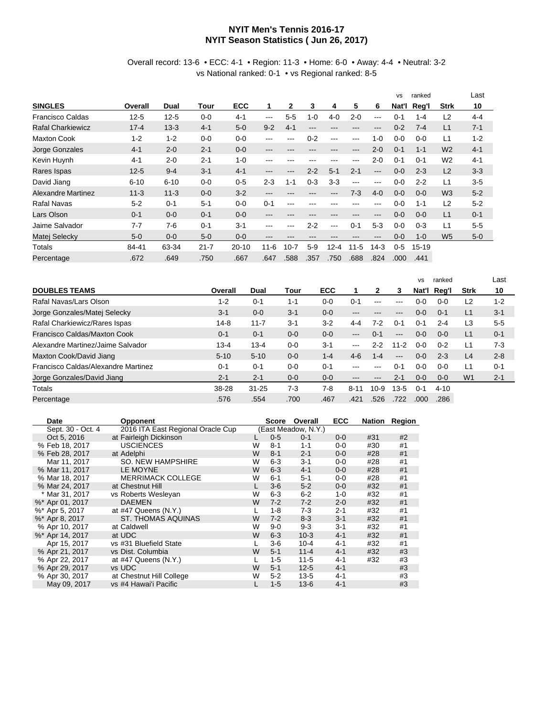#### **NYIT Men's Tennis 2016-17 NYIT Season Statistics ( Jun 26, 2017)**

#### Overall record: 13-6 • ECC: 4-1 • Region: 11-3 • Home: 6-0 • Away: 4-4 • Neutral: 3-2 vs National ranked: 0-1 • vs Regional ranked: 8-5

|                           |          |          |          |           |                        |              |         |                        |                            |                        | <b>VS</b> | ranked    |                | Last    |
|---------------------------|----------|----------|----------|-----------|------------------------|--------------|---------|------------------------|----------------------------|------------------------|-----------|-----------|----------------|---------|
| <b>SINGLES</b>            | Overall  | Dual     | Tour     | ECC       | 1                      | $\mathbf{2}$ | 3       | 4                      | 5                          | 6                      | Nat'l     | Reg'l     | <b>Strk</b>    | 10      |
| <b>Francisco Caldas</b>   | $12 - 5$ | $12 - 5$ | $0 - 0$  | $4 - 1$   | ---                    | $5 - 5$      | $1 - 0$ | $4 - 0$                | $2 - 0$                    | $\qquad \qquad \cdots$ | $0 - 1$   | $1 - 4$   | L2             | $4 - 4$ |
| <b>Rafal Charkiewicz</b>  | $17 - 4$ | $13 - 3$ | $4 - 1$  | $5-0$     | $9 - 2$                | $4 - 1$      | ---     | ---                    | $\qquad \qquad \cdots$     | ---                    | $0 - 2$   | $7 - 4$   | L1             | $7 - 1$ |
| <b>Maxton Cook</b>        | $1 - 2$  | $1 - 2$  | $0 - 0$  | $0 - 0$   | ---                    | ---          | $0 - 2$ | $--$                   | $\qquad \qquad -$          | $1 - 0$                | $0 - 0$   | $0 - 0$   | L1             | $1 - 2$ |
| Jorge Gonzales            | $4 - 1$  | $2 - 0$  | $2 - 1$  | $0 - 0$   | $---$                  | ---          | ---     | $\qquad \qquad -$      | $\qquad \qquad -$          | $2 - 0$                | $0 - 1$   | $1 - 1$   | W <sub>2</sub> | $4 - 1$ |
| Kevin Huynh               | $4 - 1$  | $2 - 0$  | $2 - 1$  | $1 - 0$   | ---                    | ---          |         | $- - -$                | $--$                       | $2 - 0$                | $0 - 1$   | $0 - 1$   | W <sub>2</sub> | $4 - 1$ |
| Rares Ispas               | $12 - 5$ | $9 - 4$  | $3 - 1$  | $4 - 1$   | ---                    | ---          | $2 - 2$ | $5 - 1$                | $2 - 1$                    | ---                    | $0 - 0$   | $2 - 3$   | L2             | $3-3$   |
| David Jiang               | $6 - 10$ | $6 - 10$ | $0 - 0$  | $0-5$     | $2 - 3$                | $1 - 1$      | $0 - 3$ | $3-3$                  | $---$                      | $-- -$                 | $0 - 0$   | $2 - 2$   | L1             | $3-5$   |
| <b>Alexandre Martinez</b> | $11 - 3$ | $11 - 3$ | $0 - 0$  | $3-2$     | $\qquad \qquad \cdots$ | ---          |         | $\qquad \qquad \cdots$ | $7-3$                      | $4 - 0$                | $0 - 0$   | $0 - 0$   | W <sub>3</sub> | $5-2$   |
| <b>Rafal Navas</b>        | $5 - 2$  | $0 - 1$  | $5 - 1$  | $0 - 0$   | $0 - 1$                | ---          | ---     | ---                    | ---                        | ---                    | $0-0$     | $1 - 1$   | L2             | $5-2$   |
| Lars Olson                | $0 - 1$  | $0 - 0$  | $0 - 1$  | $0 - 0$   | $---$                  | ---          | ---     | ---                    | $\qquad \qquad - \qquad -$ | ---                    | $0 - 0$   | $0 - 0$   | L1             | $0 - 1$ |
| Jaime Salvador            | $7 - 7$  | $7-6$    | $0 - 1$  | $3 - 1$   | ---                    | ---          | $2 - 2$ | $---$                  | $0 - 1$                    | $5-3$                  | $0 - 0$   | $0 - 3$   | L1             | $5-5$   |
| Matej Selecky             | $5-0$    | $0 - 0$  | $5-0$    | $0 - 0$   | ---                    | ---          | ---     | $- - -$                | $\qquad \qquad -$          | ---                    | $0 - 0$   | $1 - 0$   | W <sub>5</sub> | $5-0$   |
| Totals                    | 84-41    | 63-34    | $21 - 7$ | $20 - 10$ | $11 - 6$               | $10 - 7$     | $5-9$   | $12 - 4$               | $11 - 5$                   | $14-3$                 | $0 - 5$   | $15 - 19$ |                |         |
| Percentage                | .672     | .649     | .750     | .667      | .647                   | .588         | .357    | .750                   | .688                       | .824                   | .000      | .441      |                |         |

|                                     |          |           |         |         |                            |                           |          | <b>VS</b> | ranked   |                | Last    |
|-------------------------------------|----------|-----------|---------|---------|----------------------------|---------------------------|----------|-----------|----------|----------------|---------|
| <b>DOUBLES TEAMS</b>                | Overall  | Dual      | Tour    | ECC     | 1                          | 2                         | 3        | Nat'l     | Rea'l    | <b>Strk</b>    | 10      |
| Rafal Navas/Lars Olson              | $1 - 2$  | $0 - 1$   | $1 - 1$ | $0 - 0$ | $0 - 1$                    | $\frac{1}{2}$             | ---      | $0 - 0$   | $0 - 0$  | L2             | $1 - 2$ |
| Jorge Gonzales/Matej Selecky        | $3 - 1$  | $0 - 0$   | $3 - 1$ | $0 - 0$ | ---                        |                           | ---      | $0 - 0$   | $0 - 1$  | L1             | $3 - 1$ |
| Rafal Charkiewicz/Rares Ispas       | $14-8$   | $11 - 7$  | $3 - 1$ | $3-2$   | 4-4                        | 7-2                       | $0 - 1$  | $0 - 1$   | $2 - 4$  | L3             | $5-5$   |
| Francisco Caldas/Maxton Cook        | $0 - 1$  | $0 - 1$   | $0 - 0$ | $0 - 0$ | $---$                      | $0 - 1$                   | $---$    | $0 - 0$   | $0 - 0$  | L1             | $0 - 1$ |
| Alexandre Martinez/Jaime Salvador   | $13 - 4$ | $13 - 4$  | $0 - 0$ | $3 - 1$ | $---$                      | 2-2                       | $11 - 2$ | $0 - 0$   | $0 - 2$  | L1             | $7-3$   |
| Maxton Cook/David Jiang             | $5 - 10$ | $5 - 10$  | $0 - 0$ | $1 - 4$ | $4 - 6$                    | 1-4                       | $---$    | $0 - 0$   | $2 - 3$  | L <sub>4</sub> | $2 - 8$ |
| Francisco Caldas/Alexandre Martinez | $0 - 1$  | $0 - 1$   | $0 - 0$ | $0 - 1$ | ---                        | $-- -$                    | $0 - 1$  | $0 - 0$   | $0 - 0$  | L1             | $0 - 1$ |
| Jorge Gonzales/David Jiang          | $2 - 1$  | $2 - 1$   | $0 - 0$ | $0 - 0$ | $\qquad \qquad - \qquad -$ | $\qquad \qquad -\qquad -$ | $2 - 1$  | $0 - 0$   | $0 - 0$  | W <sub>1</sub> | $2 - 1$ |
| Totals                              | 38-28    | $31 - 25$ | $7-3$   | 7-8     | $8 - 11$                   | $10-9$                    | $13 - 5$ | $0 - 1$   | $4 - 10$ |                |         |
| Percentage                          | .576     | .554      | .700    | .467    | .421                       | .526                      | .722     | .000      | .286     |                |         |

| Date              | <b>Opponent</b>                   |   | <b>Score</b> | Overall             | <b>ECC</b> | Nation | Region |
|-------------------|-----------------------------------|---|--------------|---------------------|------------|--------|--------|
| Sept. 30 - Oct. 4 | 2016 ITA East Regional Oracle Cup |   |              | (East Meadow, N.Y.) |            |        |        |
| Oct 5, 2016       | at Fairleigh Dickinson            |   | $0-5$        | $0 - 1$             | $0 - 0$    | #31    | #2     |
| % Feb 18, 2017    | <b>USCIENCES</b>                  | W | $8 - 1$      | $1 - 1$             | $0-0$      | #30    | #1     |
| % Feb 28, 2017    | at Adelphi                        | W | $8 - 1$      | $2 - 1$             | $0 - 0$    | #28    | #1     |
| Mar 11, 2017      | SO. NEW HAMPSHIRE                 | W | $6 - 3$      | $3 - 1$             | $0 - 0$    | #28    | #1     |
| % Mar 11, 2017    | LE MOYNE                          | W | $6 - 3$      | $4 - 1$             | $0-0$      | #28    | #1     |
| % Mar 18, 2017    | <b>MERRIMACK COLLEGE</b>          | W | $6 - 1$      | $5 - 1$             | $0 - 0$    | #28    | #1     |
| % Mar 24, 2017    | at Chestnut Hill                  |   | $3 - 6$      | $5-2$               | $0-0$      | #32    | #1     |
| * Mar 31, 2017    | vs Roberts Wesleyan               | W | $6 - 3$      | $6 - 2$             | $1 - 0$    | #32    | #1     |
| %* Apr 01, 2017   | <b>DAEMEN</b>                     | W | $7 - 2$      | $7 - 2$             | $2 - 0$    | #32    | #1     |
| %* Apr 5, 2017    | at $#47$ Queens $(N.Y.)$          |   | 1-8          | $7-3$               | $2 - 1$    | #32    | #1     |
| %* Apr 8, 2017    | <b>ST. THOMAS AQUINAS</b>         | W | $7 - 2$      | $8 - 3$             | $3 - 1$    | #32    | #1     |
| % Apr 10, 2017    | at Caldwell                       | W | $9-0$        | $9 - 3$             | $3 - 1$    | #32    | #1     |
| %* Apr 14, 2017   | at UDC                            | W | $6 - 3$      | $10-3$              | $4 - 1$    | #32    | #1     |
| Apr 15, 2017      | vs #31 Bluefield State            |   | $3-6$        | $10 - 4$            | $4 - 1$    | #32    | #1     |
| % Apr 21, 2017    | vs Dist. Columbia                 | W | $5 - 1$      | $11 - 4$            | $4 - 1$    | #32    | #3     |
| % Apr 22, 2017    | at #47 Queens (N.Y.)              |   | $1-5$        | $11-5$              | 4-1        | #32    | #3     |
| % Apr 29, 2017    | vs UDC                            | W | $5 - 1$      | $12 - 5$            | $4 - 1$    |        | #3     |
| % Apr 30, 2017    | at Chestnut Hill College          | W | $5 - 2$      | $13 - 5$            | $4 - 1$    |        | #3     |
| May 09, 2017      | vs #4 Hawai'i Pacific             |   | $1 - 5$      | $13 - 6$            | $4 - 1$    |        | #3     |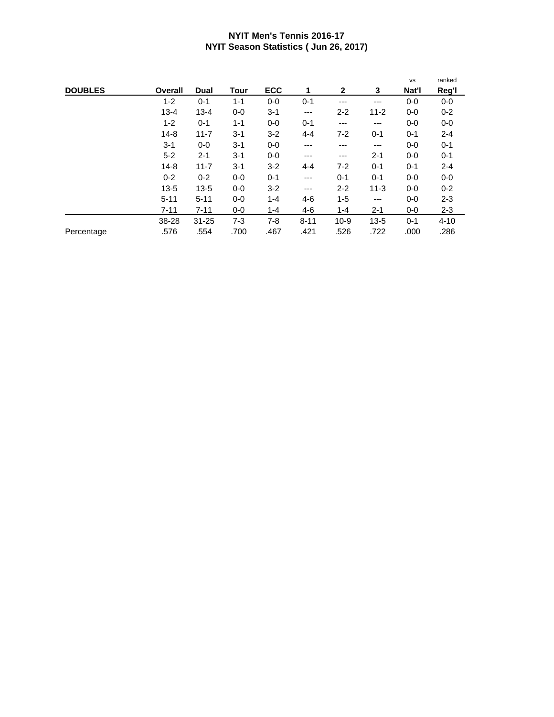#### **NYIT Men's Tennis 2016-17 NYIT Season Statistics ( Jun 26, 2017)**

|                |          |           |             |            |          |              |          | <b>VS</b> | ranked   |
|----------------|----------|-----------|-------------|------------|----------|--------------|----------|-----------|----------|
| <b>DOUBLES</b> | Overall  | Dual      | <b>Tour</b> | <b>ECC</b> | 1        | $\mathbf{2}$ | 3        | Nat'l     | Reg'l    |
|                | $1 - 2$  | $0 - 1$   | $1 - 1$     | $0-0$      | $0 - 1$  | ---          | ---      | $0 - 0$   | $0-0$    |
|                | $13 - 4$ | $13 - 4$  | $0-0$       | $3 - 1$    | ---      | $2 - 2$      | $11 - 2$ | $0 - 0$   | $0 - 2$  |
|                | $1 - 2$  | $0 - 1$   | $1 - 1$     | $0-0$      | $0 - 1$  | ---          | ---      | $0 - 0$   | $0-0$    |
|                | $14 - 8$ | $11 - 7$  | $3 - 1$     | $3-2$      | $4 - 4$  | 7-2          | $0 - 1$  | $0 - 1$   | $2 - 4$  |
|                | $3 - 1$  | $0-0$     | $3 - 1$     | $0-0$      | $---$    | ---          | ---      | $0-0$     | $0 - 1$  |
|                | $5 - 2$  | $2 - 1$   | $3 - 1$     | $0-0$      | ---      | ---          | $2 - 1$  | $0-0$     | $0 - 1$  |
|                | $14 - 8$ | $11 - 7$  | $3 - 1$     | $3 - 2$    | $4 - 4$  | $7 - 2$      | $0 - 1$  | $0 - 1$   | $2 - 4$  |
|                | $0 - 2$  | $0 - 2$   | $0-0$       | $0 - 1$    | $---$    | $0 - 1$      | $0 - 1$  | $0-0$     | $0-0$    |
|                | $13 - 5$ | $13 - 5$  | $0-0$       | $3 - 2$    | ---      | $2 - 2$      | $11 - 3$ | $0-0$     | $0 - 2$  |
|                | $5 - 11$ | $5 - 11$  | $0-0$       | $1 - 4$    | $4-6$    | $1 - 5$      | ---      | $0-0$     | $2 - 3$  |
|                | $7 - 11$ | $7 - 11$  | $0-0$       | $1 - 4$    | $4-6$    | $1 - 4$      | $2 - 1$  | $0-0$     | $2 - 3$  |
|                | 38-28    | $31 - 25$ | $7 - 3$     | $7 - 8$    | $8 - 11$ | $10-9$       | $13 - 5$ | $0 - 1$   | $4 - 10$ |
| Percentage     | .576     | .554      | .700        | .467       | .421     | .526         | .722     | .000      | .286     |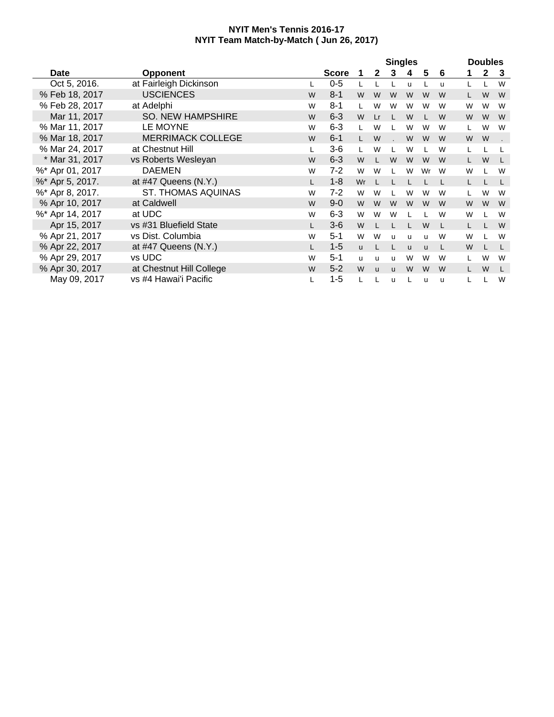|                 |                           |    |              |          |              | <b>Singles</b> |          |          |   |    | <b>Doubles</b> |    |
|-----------------|---------------------------|----|--------------|----------|--------------|----------------|----------|----------|---|----|----------------|----|
| <b>Date</b>     | <b>Opponent</b>           |    | <b>Score</b> |          | $\mathbf{2}$ | 3              | 4        | 5        | 6 |    | $\mathbf{2}$   | -3 |
| Oct 5, 2016.    | at Fairleigh Dickinson    |    | $0-5$        |          |              |                | u        |          | u |    |                | W  |
| % Feb 18, 2017  | <b>USCIENCES</b>          | W  | $8 - 1$      | W        | W            | W              | W        | W        | W |    | W              | W  |
| % Feb 28, 2017  | at Adelphi                | W  | $8 - 1$      |          | W            | W              | W        | W        | W | W  | W              | W  |
| Mar 11, 2017    | <b>SO. NEW HAMPSHIRE</b>  | W  | $6 - 3$      | W        | Lr           |                | W        | L        | W | W  | W              | W  |
| % Mar 11, 2017  | LE MOYNE                  | W  | $6 - 3$      | L        | W            |                | W        | W        | W | L  | W              | W  |
| % Mar 18, 2017  | <b>MERRIMACK COLLEGE</b>  | W  | $6 - 1$      | L.       | W            |                | W        | W        | W | W  | W              |    |
| % Mar 24, 2017  | at Chestnut Hill          | L  | $3-6$        | L        | W            |                | W        | L        | W |    |                |    |
| * Mar 31, 2017  | vs Roberts Wesleyan       | W  | $6 - 3$      | W        |              | W              | W        | W        | W | L. | W              | L  |
| %* Apr 01, 2017 | <b>DAEMEN</b>             | W  | $7 - 2$      | W        | W            |                | W        | Wr       | W | W  |                | W  |
| %* Apr 5, 2017. | at #47 Queens (N.Y.)      |    | $1 - 8$      | Wr       |              |                |          |          |   | L. |                |    |
| %* Apr 8, 2017. | <b>ST. THOMAS AQUINAS</b> | W  | $7-2$        | W        | W            |                | W        | W        | W | L  | W              | W  |
| % Apr 10, 2017  | at Caldwell               | W  | $9 - 0$      | W        | W            | W              | W        | W        | W | W  | W              | W  |
| %* Apr 14, 2017 | at UDC                    | W  | $6 - 3$      | W        | W            | W              |          |          | W | W  |                | W  |
| Apr 15, 2017    | vs #31 Bluefield State    | L. | $3-6$        | W        |              |                |          | W        | L | L. |                | W  |
| % Apr 21, 2017  | vs Dist. Columbia         | W  | $5 - 1$      | W        | W            | u              | u        | u        | W | W  |                | W  |
| % Apr 22, 2017  | at #47 Queens (N.Y.)      |    | $1 - 5$      | <b>u</b> |              | L              | <b>u</b> | <b>u</b> | L | W  |                | L  |
| % Apr 29, 2017  | vs UDC                    | W  | $5 - 1$      | u        | u            | u              | W        | W        | W | L  | W              | W  |
| % Apr 30, 2017  | at Chestnut Hill College  | W  | $5 - 2$      | W        | $\mathbf{u}$ | <b>u</b>       | W        | W        | W |    | W              |    |
| May 09, 2017    | vs #4 Hawai'i Pacific     |    | $1 - 5$      |          |              | u              |          | u        | u |    |                | W  |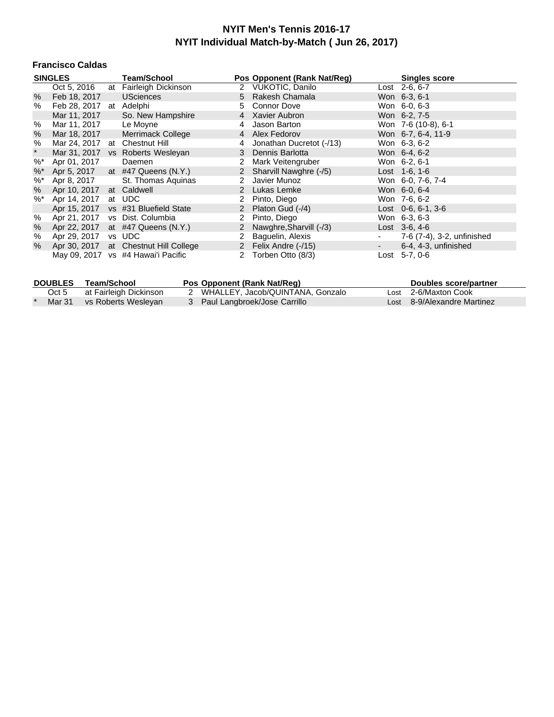#### **Francisco Caldas**

|                   | <b>SINGLES</b>                | <b>Team/School</b>                    |                      | Pos Opponent (Rank Nat/Reg) |            | <b>Singles score</b>       |
|-------------------|-------------------------------|---------------------------------------|----------------------|-----------------------------|------------|----------------------------|
|                   | Oct 5, 2016                   | at Fairleigh Dickinson                |                      | 2 VUKOTIC, Danilo           |            | Lost 2-6, 6-7              |
| $\%$              | Feb 18, 2017                  | <b>USciences</b>                      |                      | 5 Rakesh Chamala            |            | Won 6-3, 6-1               |
| %                 | Feb 28, 2017 at Adelphi       |                                       | 5                    | Connor Dove                 |            | Won 6-0, 6-3               |
|                   | Mar 11, 2017                  | So. New Hampshire                     | 4                    | Xavier Aubron               |            | Won 6-2, 7-5               |
| %                 | Mar 11, 2017                  | Le Moyne                              | 4                    | Jason Barton                |            | Won 7-6 (10-8), 6-1        |
| %                 | Mar 18, 2017                  | <b>Merrimack College</b>              |                      | 4 Alex Fedorov              |            | Won 6-7, 6-4, 11-9         |
| %                 | Mar 24, 2017 at Chestnut Hill |                                       |                      | Jonathan Ducretot (-/13)    |            | Won 6-3, 6-2               |
| $\star$           |                               | Mar 31, 2017 vs Roberts Wesleyan      |                      | 3 Dennis Barlotta           |            | Won 6-4, 6-2               |
| $\%^*$            | Apr 01, 2017                  | Daemen                                | 2                    | Mark Veitengruber           |            | Won 6-2, 6-1               |
| $\%$ <sup>*</sup> |                               | Apr 5, 2017 at #47 Queens (N.Y.)      |                      | 2 Sharvill Nawghre (-/5)    |            | Lost 1-6, 1-6              |
| %*                | Apr 8, 2017                   | St. Thomas Aquinas                    | 2                    | Javier Munoz                |            | Won 6-0, 7-6, 7-4          |
| %                 | Apr 10, 2017                  | at Caldwell                           | 2                    | Lukas Lemke                 |            | Won 6-0, 6-4               |
| $\%$ *            | Apr 14, 2017                  | at UDC                                |                      | Pinto, Diego                |            | Won 7-6, 6-2               |
|                   | Apr 15, 2017                  | vs #31 Bluefield State                |                      | 2 Platon Gud (-/4)          |            | Lost 0-6, 6-1, 3-6         |
| %                 | Apr 21, 2017                  | vs Dist. Columbia                     | 2                    | Pinto, Diego                |            | Won 6-3, 6-3               |
| %                 |                               | Apr 22, 2017 at #47 Queens (N.Y.)     |                      | 2 Nawghre, Sharvill (-/3)   |            | Lost $3-6, 4-6$            |
| %                 | Apr 29, 2017                  | vs UDC                                | $\mathbf{2}^{\circ}$ | Baguelin, Alexis            |            | 7-6 (7-4), 3-2, unfinished |
| $\%$              |                               | Apr 30, 2017 at Chestnut Hill College |                      | 2 Felix Andre (-/15)        | $\sim 100$ | 6-4, 4-3, unfinished       |
|                   |                               | May 09, 2017 vs #4 Hawai'i Pacific    |                      | 2 Torben Otto (8/3)         |            | Lost 5-7, 0-6              |

|       | DOUBLES Team/School        | Pos Opponent (Rank Nat/Reg)        | Doubles score/partner       |
|-------|----------------------------|------------------------------------|-----------------------------|
| Oct 5 | at Fairleigh Dickinson     | 2 WHALLEY, Jacob/QUINTANA, Gonzalo | Lost 2-6/Maxton Cook        |
|       | Mar 31 vs Roberts Wesleyan | 3 Paul Langbroek/Jose Carrillo     | Lost 8-9/Alexandre Martinez |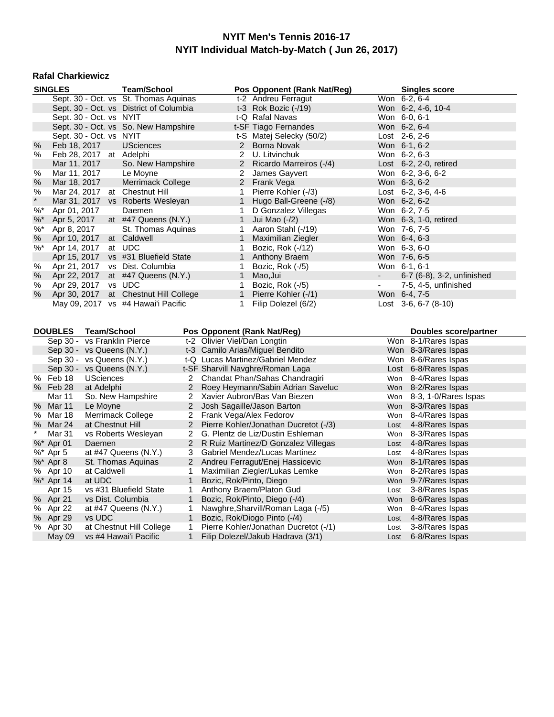#### **Rafal Charkiewicz**

|         | <b>SINGLES</b>              |                    | <b>Team/School</b>                                |                              |                              | Pos Opponent (Rank Nat/Reg)                                                |      | Singles score                           |
|---------|-----------------------------|--------------------|---------------------------------------------------|------------------------------|------------------------------|----------------------------------------------------------------------------|------|-----------------------------------------|
|         |                             |                    | Sept. 30 - Oct. vs St. Thomas Aquinas             |                              |                              | t-2 Andreu Ferragut                                                        |      | Won 6-2, 6-4                            |
|         |                             |                    | Sept. 30 - Oct. vs District of Columbia           |                              |                              | t-3 Rok Bozic $(-/19)$                                                     |      | Won 6-2, 4-6, 10-4                      |
|         | Sept. 30 - Oct. vs NYIT     |                    |                                                   |                              |                              | t-Q Rafal Navas                                                            |      | Won 6-0, 6-1                            |
|         |                             |                    | Sept. 30 - Oct. vs So. New Hampshire              |                              |                              | t-SF Tiago Fernandes                                                       |      | Won 6-2, 6-4                            |
|         | Sept. 30 - Oct. vs NYIT     |                    |                                                   |                              |                              | t-S Matej Selecky (50/2)                                                   |      | Lost $2-6$ , $2-6$                      |
| %       | Feb 18, 2017                |                    | <b>USciences</b>                                  |                              | $2^{\circ}$                  | Borna Novak                                                                |      | Won 6-1, 6-2                            |
| %       | Feb 28, 2017 at Adelphi     |                    |                                                   |                              |                              | 2 U. Litvinchuk                                                            |      | Won 6-2, 6-3                            |
|         | Mar 11, 2017                |                    | So. New Hampshire                                 |                              | $\overline{2}$               | Ricardo Marreiros (-/4)                                                    |      | Lost 6-2, 2-0, retired                  |
| $\%$    | Mar 11, 2017                |                    | Le Moyne                                          |                              |                              | 2 James Gayvert                                                            |      | Won 6-2, 3-6, 6-2                       |
| $\%$    | Mar 18, 2017                |                    | Merrimack College                                 |                              | 2 <sup>1</sup>               | Frank Vega                                                                 |      | Won 6-3, 6-2                            |
| $\%$    | Mar 24, 2017                |                    | at Chestnut Hill                                  |                              | 1                            | Pierre Kohler (-/3)                                                        |      | Lost $6-2$ , $3-6$ , $4-6$              |
| $\star$ |                             |                    | Mar 31, 2017 vs Roberts Wesleyan                  |                              | 1                            | Hugo Ball-Greene (-/8)                                                     |      | Won 6-2, 6-2                            |
| $\%$    | Apr 01, 2017                |                    | Daemen                                            |                              | 1                            | D Gonzalez Villegas                                                        |      | Won 6-2, 7-5                            |
| $\%$ *  | Apr 5, 2017                 |                    | at $#47$ Queens $(N.Y.)$                          |                              | $\mathbf{1}$                 | Jui Mao (-/2)                                                              |      | Won 6-3, 1-0, retired                   |
| $\%$    | Apr 8, 2017                 |                    | St. Thomas Aquinas                                |                              | 1                            | Aaron Stahl (-/19)                                                         |      | Won 7-6, 7-5                            |
| $\%$    | Apr 10, 2017                |                    | at Caldwell                                       |                              | $\mathbf{1}$                 | Maximilian Ziegler                                                         |      | Won 6-4, 6-3                            |
| $%$ *   | Apr 14, 2017                |                    | at UDC                                            |                              | 1                            | Bozic, Rok (-/12)                                                          |      | Won 6-3, 6-0                            |
|         | Apr 15, 2017                |                    | vs #31 Bluefield State                            |                              | $\mathbf{1}$                 | Anthony Braem                                                              |      | Won 7-6, 6-5                            |
| $\%$    |                             |                    | Apr 21, 2017 vs Dist. Columbia                    |                              | 1                            | Bozic, Rok (-/5)                                                           |      | Won 6-1, 6-1                            |
| $\%$    | Apr 22, 2017                |                    | at #47 Queens (N.Y.)                              |                              | $\mathbf{1}$                 | Mao, Jui                                                                   |      | 6-7 (6-8), 3-2, unfinished              |
| $\%$    | Apr 29, 2017 vs UDC         |                    |                                                   |                              | 1                            | Bozic, Rok (-/5)                                                           |      | 7-5, 4-5, unfinished                    |
| %       | Apr 30, 2017                |                    | at Chestnut Hill College                          |                              | 1                            | Pierre Kohler (-/1)                                                        |      | Won 6-4, 7-5                            |
|         |                             |                    | May 09, 2017 vs #4 Hawai'i Pacific                |                              | 1                            | Filip Dolezel (6/2)                                                        |      | Lost $3-6, 6-7$ $(8-10)$                |
|         |                             |                    |                                                   |                              |                              |                                                                            |      |                                         |
|         |                             |                    |                                                   |                              |                              |                                                                            |      |                                         |
|         | <b>DOUBLES</b>              | <b>Team/School</b> |                                                   |                              |                              | Pos Opponent (Rank Nat/Reg)                                                |      | Doubles score/partner                   |
|         | Sep 30 - vs Franklin Pierce |                    |                                                   |                              | t-2 Olivier Viel/Dan Longtin |                                                                            |      | Won 8-1/Rares Ispas                     |
|         | Sep 30 - vs Queens (N.Y.)   |                    |                                                   |                              |                              | t-3 Camilo Arias/Miguel Bendito                                            |      | Won 8-3/Rares Ispas                     |
|         | Sep 30 - vs Queens (N.Y.)   |                    |                                                   |                              |                              | t-Q Lucas Martinez/Gabriel Mendez                                          |      | Won 8-6/Rares Ispas                     |
|         | Sep 30 - vs Queens (N.Y.)   |                    |                                                   |                              |                              | t-SF Sharvill Navghre/Roman Laga                                           |      | Lost 6-8/Rares Ispas                    |
| %       | Feb 18                      | <b>USciences</b>   |                                                   | $\mathbf{2}$                 |                              | Chandat Phan/Sahas Chandragiri                                             |      | Won 8-4/Rares Ispas                     |
|         | % Feb 28                    | at Adelphi         |                                                   | $\overline{2}$               |                              | Roey Heymann/Sabin Adrian Saveluc                                          |      | Won 8-2/Rares Ispas                     |
|         | Mar 11                      |                    | So. New Hampshire                                 | 2                            |                              | Xavier Aubron/Bas Van Biezen                                               |      | Won 8-3, 1-0/Rares Ispas                |
|         | % Mar 11                    | Le Moyne           |                                                   | $\overline{2}$               |                              | Josh Sagaille/Jason Barton                                                 |      | Won 8-3/Rares Ispas                     |
| %       | Mar 18                      |                    | Merrimack College                                 | 2                            | Frank Vega/Alex Fedorov      |                                                                            |      | Won 8-4/Rares Ispas                     |
| %       | Mar 24                      | at Chestnut Hill   |                                                   | $\overline{2}$               |                              | Pierre Kohler/Jonathan Ducretot (-/3)                                      | Lost | 4-8/Rares Ispas                         |
| $\star$ | Mar 31                      |                    | vs Roberts Wesleyan                               | $\mathbf{2}^-$               |                              | G. Plentz de Liz/Dustin Eshleman                                           |      | Won 8-3/Rares Ispas                     |
|         | %* Apr 01                   | Daemen             |                                                   | $\overline{2}$               |                              | R Ruiz Martinez/D Gonzalez Villegas                                        | Lost | 4-8/Rares Ispas                         |
|         | %* Apr 5                    |                    | at #47 Queens (N.Y.)                              | 3                            |                              | Gabriel Mendez/Lucas Martinez                                              | Lost | 4-8/Rares Ispas                         |
|         | $%$ * Apr 8                 |                    | St. Thomas Aquinas                                | $\overline{2}$               |                              | Andreu Ferragut/Enej Hassicevic                                            |      | Won 8-1/Rares Ispas                     |
|         | % Apr 10                    | at Caldwell        |                                                   | 1                            |                              | Maximilian Ziegler/Lukas Lemke                                             |      | Won 8-2/Rares Ispas                     |
|         | %* Apr 14                   | at UDC             |                                                   | $\mathbf{1}$                 | Bozic, Rok/Pinto, Diego      |                                                                            |      | Won 9-7/Rares Ispas                     |
|         | Apr 15                      |                    | vs #31 Bluefield State                            | 1                            |                              | Anthony Braem/Platon Gud                                                   | Lost | 3-8/Rares Ispas                         |
|         | % Apr 21                    |                    | vs Dist. Columbia                                 | $\mathbf{1}$                 |                              | Bozic, Rok/Pinto, Diego (-/4)                                              |      | Won 8-6/Rares Ispas                     |
|         | % Apr 22                    |                    | at #47 Queens (N.Y.)                              | 1                            |                              | Nawghre, Sharvill/Roman Laga (-/5)                                         |      | Won 8-4/Rares Ispas                     |
|         | % Apr 29                    | vs UDC             |                                                   | $\mathbf{1}$                 |                              | Bozic, Rok/Diogo Pinto (-/4)                                               | Lost | 4-8/Rares Ispas                         |
|         | % Apr 30<br>May 09          |                    | at Chestnut Hill College<br>vs #4 Hawai'i Pacific | $\mathbf{1}$<br>$\mathbf{1}$ |                              | Pierre Kohler/Jonathan Ducretot (-/1)<br>Filip Dolezel/Jakub Hadrava (3/1) | Lost | 3-8/Rares Ispas<br>Lost 6-8/Rares Ispas |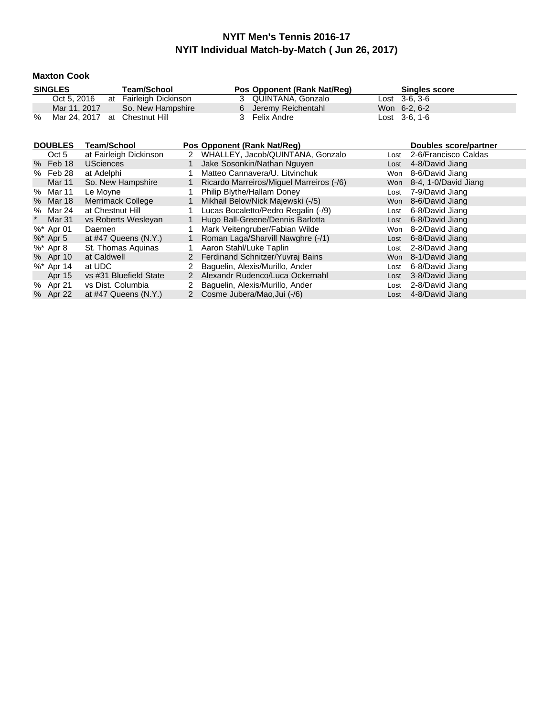#### **Maxton Cook**

|   | <b>SINGLES</b>                | Team/School            | Pos Opponent (Rank Nat/Reg) | <b>Singles score</b> |  |
|---|-------------------------------|------------------------|-----------------------------|----------------------|--|
|   | Oct 5, 2016                   | at Fairleigh Dickinson | 3 QUINTANA, Gonzalo         | $Last \, 3-6.3-6$    |  |
|   | Mar 11, 2017                  | So. New Hampshire      | 6 Jeremy Reichentahl        | Won 6-2, 6-2         |  |
| % | Mar 24, 2017 at Chestnut Hill |                        | 3 Felix Andre               | $Last \, 3-6, 1-6$   |  |

| <b>DOUBLES</b> | Team/School               |             | Pos Opponent (Rank Nat/Req)              |      | Doubles score/partner    |
|----------------|---------------------------|-------------|------------------------------------------|------|--------------------------|
| Oct 5          | at Fairleigh Dickinson    | 2           | WHALLEY, Jacob/QUINTANA, Gonzalo         | Lost | 2-6/Francisco Caldas     |
| % Feb 18       | <b>USciences</b>          |             | Jake Sosonkin/Nathan Nguyen              | Lost | 4-8/David Jiang          |
| % Feb 28       | at Adelphi                |             | Matteo Cannavera/U. Litvinchuk           | Won  | 8-6/David Jiang          |
| Mar 11         | So. New Hampshire         |             | Ricardo Marreiros/Miguel Marreiros (-/6) |      | Won 8-4, 1-0/David Jiang |
| % Mar 11       | Le Moyne                  |             | Philip Blythe/Hallam Doney               | Lost | 7-9/David Jiang          |
| % Mar 18       | Merrimack College         |             | Mikhail Belov/Nick Majewski (-/5)        |      | Won 8-6/David Jiang      |
| % Mar 24       | at Chestnut Hill          |             | Lucas Bocaletto/Pedro Regalin (-/9)      | Lost | 6-8/David Jiang          |
| Mar 31         | vs Roberts Wesleyan       |             | Hugo Ball-Greene/Dennis Barlotta         | Lost | 6-8/David Jiang          |
| $\%^*$ Apr 01  | Daemen                    |             | Mark Veitengruber/Fabian Wilde           | Won  | 8-2/David Jiang          |
| $%$ * Apr 5    | at $\#47$ Queens $(N.Y.)$ | 1.          | Roman Laga/Sharvill Nawghre (-/1)        |      | Lost 6-8/David Jiang     |
| %* Apr 8       | St. Thomas Aquinas        |             | Aaron Stahl/Luke Taplin                  | Lost | 2-8/David Jiang          |
| % Apr 10       | at Caldwell               | $2^{\circ}$ | Ferdinand Schnitzer/Yuvraj Bains         |      | Won 8-1/David Jiang      |
| %* Apr 14      | at UDC                    |             | Baguelin, Alexis/Murillo, Ander          | Lost | 6-8/David Jiang          |
| Apr 15         | vs #31 Bluefield State    | 2           | Alexandr Rudenco/Luca Ockernahl          | Lost | 3-8/David Jiang          |
| % Apr 21       | vs Dist. Columbia         |             | Baquelin, Alexis/Murillo, Ander          | Lost | 2-8/David Jiang          |
| % Apr 22       | at $\#47$ Queens $(N.Y.)$ | 2           | Cosme Jubera/Mao, Jui (-/6)              |      | Lost 4-8/David Jiang     |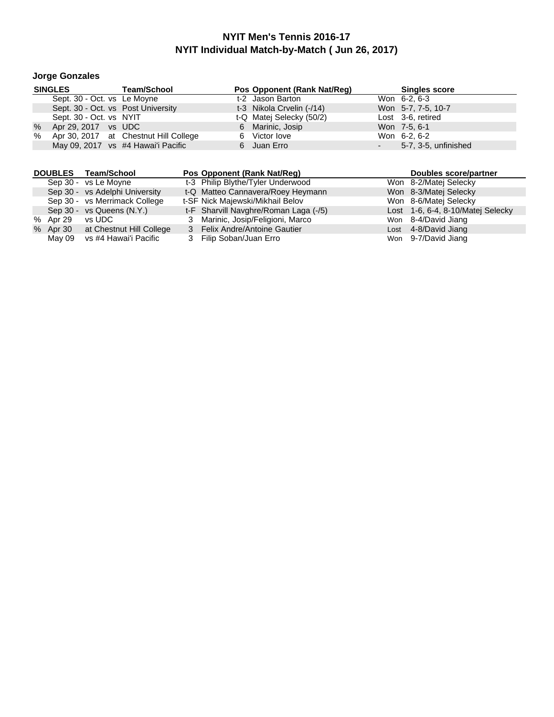# **Jorge Gonzales**

|      | <b>SINGLES</b>                     | <b>Team/School</b>                    | Pos Opponent (Rank Nat/Req) | <b>Singles score</b>    |
|------|------------------------------------|---------------------------------------|-----------------------------|-------------------------|
|      | Sept. 30 - Oct. vs Le Moyne        |                                       | t-2 Jason Barton            | Won 6-2, 6-3            |
|      | Sept. 30 - Oct. vs Post University |                                       | t-3 Nikola Crvelin (-/14)   | Won 5-7, 7-5, 10-7      |
|      | Sept. 30 - Oct. vs NYIT            |                                       | t-Q Matej Selecky (50/2)    | Lost 3-6, retired       |
| $\%$ | Apr 29, 2017 vs UDC                |                                       | 6 Marinic, Josip            | Won 7-5, 6-1            |
| %    |                                    | Apr 30, 2017 at Chestnut Hill College | 6 Victor love               | Won 6-2, 6-2            |
|      |                                    | May 09, 2017 vs #4 Hawai'i Pacific    | 6 Juan Erro                 | $-5-7, 3-5,$ unfinished |

|          | DOUBLES Team/School               | Pos Opponent (Rank Nat/Req)           | Doubles score/partner             |
|----------|-----------------------------------|---------------------------------------|-----------------------------------|
|          | Sep 30 - vs Le Moyne              | t-3 Philip Blythe/Tyler Underwood     | Won 8-2/Matej Selecky             |
|          | Sep 30 - vs Adelphi University    | t-Q Matteo Cannavera/Roey Heymann     | Won 8-3/Matej Selecky             |
|          | Sep 30 - vs Merrimack College     | t-SF Nick Majewski/Mikhail Belov      | Won 8-6/Matej Selecky             |
|          | Sep 30 - vs Queens (N.Y.)         | t-F Sharvill Navghre/Roman Laga (-/5) | Lost 1-6, 6-4, 8-10/Matej Selecky |
| % Apr 29 | vs UDC                            | 3 Marinic, Josip/Feligioni, Marco     | Won 8-4/David Jiang               |
|          | % Apr 30 at Chestnut Hill College | 3 Felix Andre/Antoine Gautier         | Lost 4-8/David Jiang              |
| Mav 09   | vs #4 Hawai'i Pacific             | Filip Soban/Juan Erro                 | Won 9-7/David Jiang               |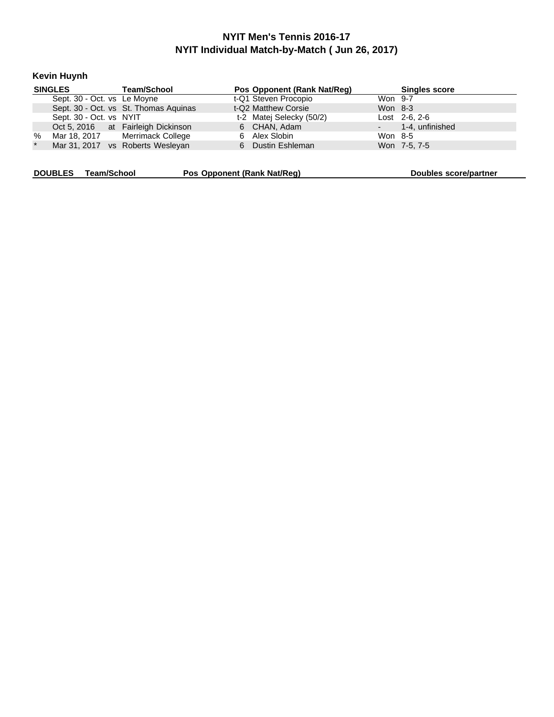**Kevin Huynh**

|         | <b>SINGLES</b>              | <b>Team/School</b>                    | Pos Opponent (Rank Nat/Reg) |         | <b>Singles score</b> |
|---------|-----------------------------|---------------------------------------|-----------------------------|---------|----------------------|
|         | Sept. 30 - Oct. vs Le Moyne |                                       | t-Q1 Steven Procopio        | Won 9-7 |                      |
|         |                             | Sept. 30 - Oct. vs St. Thomas Aquinas | t-Q2 Matthew Corsie         | Won 8-3 |                      |
|         | Sept. 30 - Oct. vs NYIT     |                                       | t-2 Matej Selecky (50/2)    |         | $Last 2-6, 2-6$      |
|         |                             | Oct 5, 2016 at Fairleigh Dickinson    | 6 CHAN, Adam                |         | - 1-4. unfinished    |
| %       |                             | Mar 18, 2017 Merrimack College        | 6 Alex Slobin               | Won 8-5 |                      |
| $\star$ |                             | Mar 31, 2017 vs Roberts Wesleyan      | 6 Dustin Eshleman           |         | Won 7-5, 7-5         |
|         |                             |                                       |                             |         |                      |

**DOUBLES Team/School <b>Pos Opponent** (Rank Nat/Reg) **Doubles** score/partner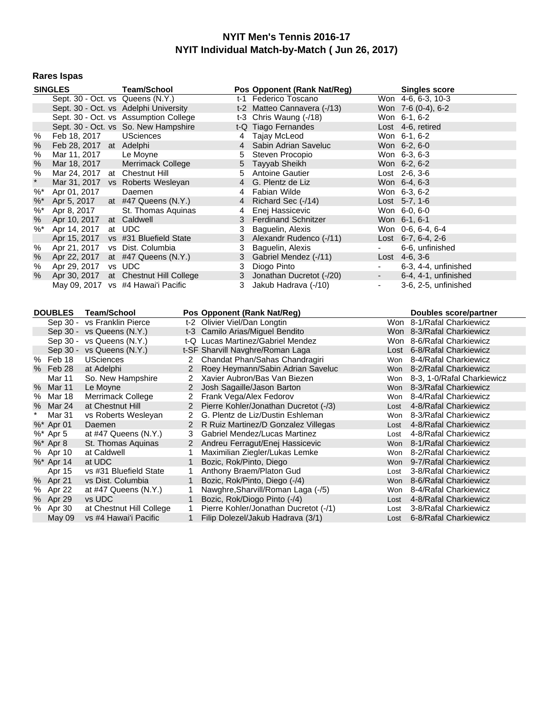#### **Rares Ispas**

| <b>SINGLES</b> |                               |  | Team/School                           |   | Pos Opponent (Rank Nat/Reg) |                    | <b>Singles score</b> |
|----------------|-------------------------------|--|---------------------------------------|---|-----------------------------|--------------------|----------------------|
|                |                               |  | Sept. 30 - Oct. vs Queens (N.Y.)      |   | t-1 Federico Toscano        |                    | Won 4-6, 6-3, 10-3   |
|                |                               |  | Sept. 30 - Oct. vs Adelphi University |   | t-2 Matteo Cannavera (-/13) |                    | Won 7-6 (0-4), 6-2   |
|                |                               |  | Sept. 30 - Oct. vs Assumption College |   | t-3 Chris Waung (-/18)      |                    | Won 6-1, 6-2         |
|                |                               |  | Sept. 30 - Oct. vs So. New Hampshire  |   | t-Q Tiago Fernandes         |                    | Lost 4-6, retired    |
| %              | Feb 18, 2017                  |  | <b>USciences</b>                      |   | 4 Tajay McLeod              |                    | Won 6-1, 6-2         |
| %              | Feb 28, 2017 at Adelphi       |  |                                       |   | 4 Sabin Adrian Saveluc      |                    | Won 6-2, 6-0         |
| %              | Mar 11, 2017                  |  | Le Moyne                              | 5 | Steven Procopio             |                    | Won 6-3, 6-3         |
| %              | Mar 18, 2017                  |  | Merrimack College                     |   | 5 Tayyab Sheikh             |                    | Won 6-2, 6-2         |
| %              | Mar 24, 2017 at Chestnut Hill |  |                                       | 5 | <b>Antoine Gautier</b>      |                    | $Last 2-6, 3-6$      |
| $\star$        |                               |  | Mar 31, 2017 vs Roberts Wesleyan      | 4 | G. Plentz de Liz            |                    | Won 6-4, 6-3         |
| %*             | Apr 01, 2017                  |  | Daemen                                | 4 | Fabian Wilde                |                    | Won 6-3, 6-2         |
| $\% *$         | Apr 5, 2017                   |  | at $#47$ Queens (N.Y.)                |   | 4 Richard Sec (-/14)        |                    | Lost 5-7, 1-6        |
| $\%^*$         | Apr 8, 2017                   |  | St. Thomas Aquinas                    |   | 4 Enej Hassicevic           |                    | Won 6-0, 6-0         |
| %              | Apr 10, 2017                  |  | at Caldwell                           |   | 3 Ferdinand Schnitzer       |                    | Won 6-1, 6-1         |
| $\%^*$         | Apr 14, 2017                  |  | at UDC                                |   | Baguelin, Alexis            |                    | Won 0-6, 6-4, 6-4    |
|                | Apr 15, 2017                  |  | vs #31 Bluefield State                | 3 | Alexandr Rudenco (-/11)     |                    | Lost $6-7, 6-4, 2-6$ |
| %              | Apr 21, 2017                  |  | vs Dist. Columbia                     | 3 | Baguelin, Alexis            | $\blacksquare$     | 6-6, unfinished      |
| %              |                               |  | Apr 22, 2017 at #47 Queens (N.Y.)     |   | 3 Gabriel Mendez (-/11)     |                    | Lost $4-6, 3-6$      |
| %              | Apr 29, 2017                  |  | vs UDC                                | 3 | Diogo Pinto                 |                    | 6-3, 4-4, unfinished |
| %              |                               |  | Apr 30, 2017 at Chestnut Hill College |   | 3 Jonathan Ducretot (-/20)  | <b>All Control</b> | 6-4, 4-1, unfinished |
|                | May 09, 2017                  |  | vs #4 Hawai'i Pacific                 | 3 | Jakub Hadrava (-/10)        | ۰                  | 3-6, 2-5, unfinished |
|                |                               |  |                                       |   |                             |                    |                      |

| <b>DOUBLES</b> |               | <b>Team/School</b>        |              | Pos Opponent (Rank Nat/Reg)           |            | Doubles score/partner      |
|----------------|---------------|---------------------------|--------------|---------------------------------------|------------|----------------------------|
|                | Sep 30 -      | vs Franklin Pierce        |              | t-2 Olivier Viel/Dan Longtin          | Won        | 8-1/Rafal Charkiewicz      |
|                |               | Sep 30 - vs Queens (N.Y.) |              | t-3 Camilo Arias/Miquel Bendito       | Won.       | 8-3/Rafal Charkiewicz      |
|                | Sep 30 -      | vs Queens (N.Y.)          |              | t-Q Lucas Martinez/Gabriel Mendez     | Won        | 8-6/Rafal Charkiewicz      |
|                |               | Sep 30 - vs Queens (N.Y.) |              | t-SF Sharvill Navghre/Roman Laga      | Lost       | 6-8/Rafal Charkiewicz      |
|                | % Feb 18      | <b>USciences</b>          | 2            | Chandat Phan/Sahas Chandragiri        | Won        | 8-4/Rafal Charkiewicz      |
|                | % Feb 28      | at Adelphi                | $\mathbf{2}$ | Roey Heymann/Sabin Adrian Saveluc     | Won        | 8-2/Rafal Charkiewicz      |
|                | Mar 11        | So. New Hampshire         | 2            | Xavier Aubron/Bas Van Biezen          | Won        | 8-3, 1-0/Rafal Charkiewicz |
| $\%$           | Mar 11        | Le Moyne                  | 2            | Josh Sagaille/Jason Barton            | <b>Won</b> | 8-3/Rafal Charkiewicz      |
|                | % Mar 18      | Merrimack College         | 2            | Frank Vega/Alex Fedorov               | Won        | 8-4/Rafal Charkiewicz      |
|                | % Mar 24      | at Chestnut Hill          | $\mathbf{2}$ | Pierre Kohler/Jonathan Ducretot (-/3) | Lost       | 4-8/Rafal Charkiewicz      |
| $\star$        | Mar 31        | vs Roberts Wesleyan       | 2            | G. Plentz de Liz/Dustin Eshleman      | Won        | 8-3/Rafal Charkiewicz      |
|                | %* Apr 01     | Daemen                    | 2            | R Ruiz Martinez/D Gonzalez Villegas   | Lost       | 4-8/Rafal Charkiewicz      |
|                | $%$ * Apr 5   | at $#47$ Queens $(N.Y.)$  | 3            | <b>Gabriel Mendez/Lucas Martinez</b>  | Lost       | 4-8/Rafal Charkiewicz      |
|                | $%$ * Apr 8   | St. Thomas Aquinas        | 2            | Andreu Ferragut/Enej Hassicevic       | <b>Won</b> | 8-1/Rafal Charkiewicz      |
|                | % Apr 10      | at Caldwell               |              | Maximilian Ziegler/Lukas Lemke        | Won        | 8-2/Rafal Charkiewicz      |
|                | $%$ * Apr 14  | at UDC                    |              | Bozic, Rok/Pinto, Diego               | Won        | 9-7/Rafal Charkiewicz      |
|                | Apr 15        | vs #31 Bluefield State    |              | Anthony Braem/Platon Gud              | Lost       | 3-8/Rafal Charkiewicz      |
|                | % Apr 21      | vs Dist. Columbia         |              | Bozic, Rok/Pinto, Diego (-/4)         | <b>Won</b> | 8-6/Rafal Charkiewicz      |
|                | % Apr 22      | at $\#47$ Queens $(N.Y.)$ |              | Nawghre, Sharvill/Roman Laga (-/5)    | Won        | 8-4/Rafal Charkiewicz      |
|                | % Apr 29      | vs UDC                    |              | Bozic, Rok/Diogo Pinto (-/4)          | Lost       | 4-8/Rafal Charkiewicz      |
|                | % Apr 30      | at Chestnut Hill College  |              | Pierre Kohler/Jonathan Ducretot (-/1) | Lost       | 3-8/Rafal Charkiewicz      |
|                | <b>May 09</b> | vs #4 Hawai'i Pacific     |              | Filip Dolezel/Jakub Hadrava (3/1)     | Lost       | 6-8/Rafal Charkiewicz      |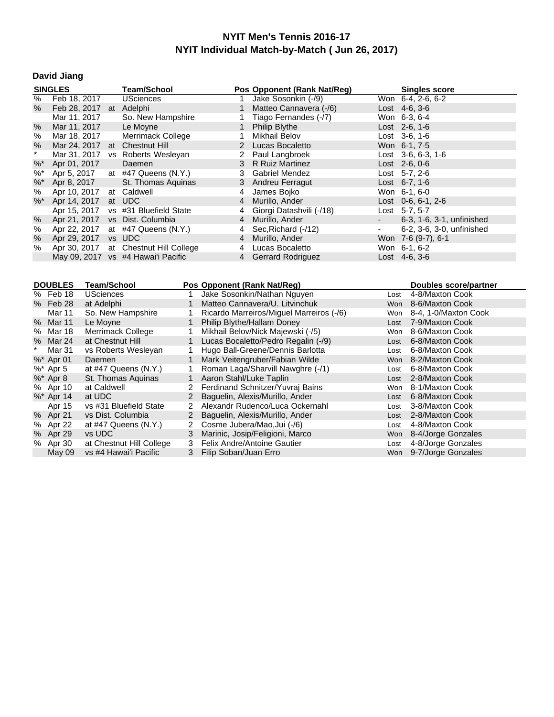# **David Jiang**

| <b>SINGLES</b>    |                               | <b>Team/School</b>                    |   | Pos Opponent (Rank Nat/Reg) |        | <b>Singles score</b>      |
|-------------------|-------------------------------|---------------------------------------|---|-----------------------------|--------|---------------------------|
| %                 | Feb 18, 2017                  | <b>USciences</b>                      |   | Jake Sosonkin (-/9)         |        | Won 6-4, 2-6, 6-2         |
| %                 | Feb 28, 2017 at Adelphi       |                                       |   | Matteo Cannavera (-/6)      |        | Lost $4-6, 3-6$           |
|                   | Mar 11, 2017                  | So. New Hampshire                     |   | Tiago Fernandes (-/7)       |        | Won 6-3, 6-4              |
| %                 | Mar 11, 2017                  | Le Moyne                              |   | <b>Philip Blythe</b>        |        | Lost 2-6, 1-6             |
| %                 | Mar 18, 2017                  | Merrimack College                     |   | Mikhail Belov               |        | Lost 3-6, 1-6             |
| %                 | Mar 24, 2017 at Chestnut Hill |                                       |   | 2 Lucas Bocaletto           |        | Won 6-1, 7-5              |
| $\star$           |                               | Mar 31, 2017 vs Roberts Wesleyan      |   | 2 Paul Langbroek            |        | Lost $3-6, 6-3, 1-6$      |
| $%^*$             | Apr 01, 2017                  | Daemen                                |   | 3 R Ruiz Martinez           |        | $Last 2-6, 0-6$           |
| $\%^*$            | Apr 5, 2017                   | at $#47$ Queens $(N.Y.)$              |   | 3 Gabriel Mendez            |        | Lost 5-7, 2-6             |
| $%^*$             | Apr 8, 2017                   | St. Thomas Aquinas                    |   | 3 Andreu Ferragut           |        | Lost $6-7, 1-6$           |
| %                 | Apr 10, 2017                  | at Caldwell                           | 4 | James Bojko                 |        | Won 6-1, 6-0              |
| $\%$ <sup>*</sup> | Apr 14, 2017                  | at UDC                                | 4 | Murillo, Ander              |        | Lost 0-6, 6-1, 2-6        |
|                   | Apr 15, 2017                  | vs #31 Bluefield State                | 4 | Giorgi Datashvili (-/18)    |        | Lost 5-7, 5-7             |
| %                 | Apr 21, 2017                  | vs Dist. Columbia                     | 4 | Murillo, Ander              | $\sim$ | 6-3, 1-6, 3-1, unfinished |
| %                 | Apr 22, 2017                  | at $#47$ Queens (N.Y.)                |   | 4 Sec, Richard (-/12)       | $\sim$ | 6-2, 3-6, 3-0, unfinished |
| %                 | Apr 29, 2017 vs UDC           |                                       | 4 | Murillo, Ander              |        | Won 7-6 (9-7), 6-1        |
| %                 |                               | Apr 30, 2017 at Chestnut Hill College | 4 | Lucas Bocaletto             |        | Won 6-1, 6-2              |
|                   |                               | May 09, 2017 vs #4 Hawai'i Pacific    |   | 4 Gerrard Rodriguez         |        | Lost 4-6, 3-6             |

| <b>DOUBLES</b> | <b>Team/School</b>        |              | Pos Opponent (Rank Nat/Req)              |      | Doubles score/partner  |
|----------------|---------------------------|--------------|------------------------------------------|------|------------------------|
| % Feb 18       | <b>USciences</b>          |              | Jake Sosonkin/Nathan Nguyen              | Lost | 4-8/Maxton Cook        |
| % Feb 28       | at Adelphi                |              | Matteo Cannavera/U. Litvinchuk           | Won  | 8-6/Maxton Cook        |
| Mar 11         | So. New Hampshire         |              | Ricardo Marreiros/Miquel Marreiros (-/6) | Won  | 8-4, 1-0/Maxton Cook   |
| % Mar 11       | Le Moyne                  |              | Philip Blythe/Hallam Doney               | Lost | 7-9/Maxton Cook        |
| % Mar 18       | Merrimack College         |              | Mikhail Belov/Nick Majewski (-/5)        | Won  | 8-6/Maxton Cook        |
| % Mar 24       | at Chestnut Hill          |              | Lucas Bocaletto/Pedro Regalin (-/9)      | Lost | 6-8/Maxton Cook        |
| Mar 31         | vs Roberts Wesleyan       |              | Hugo Ball-Greene/Dennis Barlotta         | Lost | 6-8/Maxton Cook        |
| %* Apr 01      | Daemen                    | 1            | Mark Veitengruber/Fabian Wilde           | Won  | 8-2/Maxton Cook        |
| %* Apr 5       | at $#47$ Queens $(N.Y.)$  |              | Roman Laga/Sharvill Nawghre (-/1)        | Lost | 6-8/Maxton Cook        |
| $%$ * Apr 8    | St. Thomas Aguinas        |              | Aaron Stahl/Luke Taplin                  | Lost | 2-8/Maxton Cook        |
| % Apr 10       | at Caldwell               | 2            | Ferdinand Schnitzer/Yuvraj Bains         | Won  | 8-1/Maxton Cook        |
| $%$ * Apr 14   | at UDC                    | 2            | Baquelin, Alexis/Murillo, Ander          | Lost | 6-8/Maxton Cook        |
| Apr 15         | vs #31 Bluefield State    | 2            | Alexandr Rudenco/Luca Ockernahl          | Lost | 3-8/Maxton Cook        |
| % Apr 21       | vs Dist. Columbia         | $\mathbf{2}$ | Baquelin, Alexis/Murillo, Ander          | Lost | 2-8/Maxton Cook        |
| % Apr 22       | at $\#47$ Queens $(N.Y.)$ | 2            | Cosme Jubera/Mao, Jui (-/6)              | Lost | 4-8/Maxton Cook        |
| % Apr 29       | vs UDC                    | 3            | Marinic, Josip/Feligioni, Marco          |      | Won 8-4/Jorge Gonzales |
| % Apr 30       | at Chestnut Hill College  | 3            | <b>Felix Andre/Antoine Gautier</b>       | Lost | 4-8/Jorge Gonzales     |
| May 09         | vs #4 Hawai'i Pacific     | 3            | Filip Soban/Juan Erro                    |      | Won 9-7/Jorge Gonzales |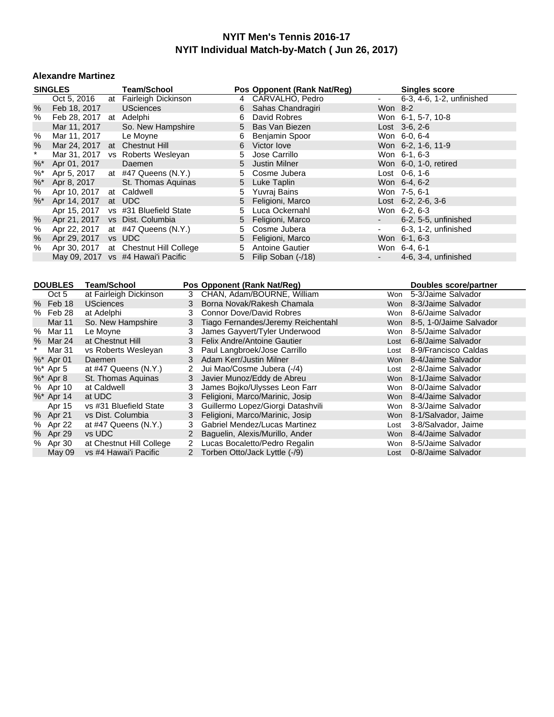#### **Alexandre Martinez**

|                   | <b>SINGLES</b>                | <b>Team/School</b>                 |    | Pos Opponent (Rank Nat/Reg) |                          | <b>Singles score</b>       |
|-------------------|-------------------------------|------------------------------------|----|-----------------------------|--------------------------|----------------------------|
|                   | Oct 5, 2016                   | at Fairleigh Dickinson             |    | 4 CARVALHO, Pedro           | ٠                        | 6-3, 4-6, 1-2, unfinished  |
| $\%$              | Feb 18, 2017                  | <b>USciences</b>                   |    | 6 Sahas Chandragiri         | Won 8-2                  |                            |
| %                 | Feb 28, 2017                  | at Adelphi                         | 6  | David Robres                |                          | Won 6-1, 5-7, 10-8         |
|                   | Mar 11, 2017                  | So. New Hampshire                  |    | 5 Bas Van Biezen            |                          | $Last \, 3-6, 2-6$         |
| %                 | Mar 11, 2017                  | Le Moyne                           | 6  | Benjamin Spoor              |                          | Won 6-0, 6-4               |
| $\%$              | Mar 24, 2017 at Chestnut Hill |                                    | 6  | Victor love                 |                          | Won 6-2, 1-6, 11-9         |
| $\star$           |                               | Mar 31, 2017 vs Roberts Wesleyan   | 5. | Jose Carrillo               |                          | Won 6-1, 6-3               |
| $%^*$             | Apr 01, 2017                  | Daemen                             |    | 5 Justin Milner             |                          | Won 6-0, 1-0, retired      |
| $\%$              | Apr 5, 2017                   | at $#47$ Queens (N.Y.)             |    | 5 Cosme Jubera              |                          | Lost 0-6, 1-6              |
| $%^*$             | Apr 8, 2017                   | St. Thomas Aquinas                 |    | 5 Luke Taplin               |                          | Won 6-4, 6-2               |
| %                 | Apr 10, 2017                  | at Caldwell                        | 5. | Yuvraj Bains                |                          | Won 7-5, 6-1               |
| $\%$ <sup>*</sup> | Apr 14, 2017                  | at UDC                             |    | 5 Feligioni, Marco          |                          | Lost $6-2$ , $2-6$ , $3-6$ |
|                   | Apr 15, 2017                  | vs #31 Bluefield State             | 5  | Luca Ockernahl              |                          | Won 6-2, 6-3               |
| %                 | Apr 21, 2017                  | vs Dist. Columbia                  |    | 5 Feligioni, Marco          | $\sim$                   | 6-2, 5-5, unfinished       |
| %                 | Apr 22, 2017                  | at $#47$ Queens (N.Y.)             | 5  | Cosme Jubera                | ۰.                       | 6-3, 1-2, unfinished       |
| %                 | Apr 29, 2017                  | vs UDC                             |    | 5 Feligioni, Marco          |                          | Won 6-1, 6-3               |
| %                 | Apr 30, 2017                  | at Chestnut Hill College           | 5. | <b>Antoine Gautier</b>      |                          | Won 6-4, 6-1               |
|                   |                               | May 09, 2017 vs #4 Hawai'i Pacific | 5  | Filip Soban (-/18)          | $\overline{\phantom{a}}$ | 4-6, 3-4, unfinished       |

|   | <b>DOUBLES</b> | Team/School               |                | Pos Opponent (Rank Nat/Reg)          |      | Doubles score/partner       |
|---|----------------|---------------------------|----------------|--------------------------------------|------|-----------------------------|
|   | Oct 5          | at Fairleigh Dickinson    | 3              | CHAN, Adam/BOURNE, William           | Won  | 5-3/Jaime Salvador          |
|   | % Feb 18       | <b>USciences</b>          | 3              | Borna Novak/Rakesh Chamala           | Won  | 8-3/Jaime Salvador          |
|   | % Feb 28       | at Adelphi                | 3              | <b>Connor Dove/David Robres</b>      | Won  | 8-6/Jaime Salvador          |
|   | <b>Mar 11</b>  | So. New Hampshire         | 3              | Tiago Fernandes/Jeremy Reichentahl   |      | Won 8-5, 1-0/Jaime Salvador |
| % | Mar 11         | Le Moyne                  | 3              | James Gayvert/Tyler Underwood        | Won  | 8-5/Jaime Salvador          |
|   | % Mar 24       | at Chestnut Hill          | 3              | Felix Andre/Antoine Gautier          | Lost | 6-8/Jaime Salvador          |
|   | Mar 31         | vs Roberts Wesleyan       | 3              | Paul Langbroek/Jose Carrillo         | Lost | 8-9/Francisco Caldas        |
|   | $%$ * Apr 01   | Daemen                    | 3              | Adam Kerr/Justin Milner              | Won  | 8-4/Jaime Salvador          |
|   | %* Apr 5       | at $#47$ Queens $(N.Y.)$  | $\overline{2}$ | Jui Mao/Cosme Jubera (-/4)           | Lost | 2-8/Jaime Salvador          |
|   | $%$ * Apr 8    | St. Thomas Aguinas        | 3              | Javier Munoz/Eddy de Abreu           | Won  | 8-1/Jaime Salvador          |
|   | % Apr 10       | at Caldwell               | 3              | James Bojko/Ulysses Leon Farr        | Won  | 8-0/Jaime Salvador          |
|   | $%$ * Apr 14   | at UDC                    | 3              | Feligioni, Marco/Marinic, Josip      | Won  | 8-4/Jaime Salvador          |
|   | Apr 15         | vs #31 Bluefield State    | 3              | Guillermo Lopez/Giorgi Datashvili    | Won  | 8-3/Jaime Salvador          |
|   | % Apr 21       | vs Dist. Columbia         | 3              | Feligioni, Marco/Marinic, Josip      |      | Won 8-1/Salvador, Jaime     |
|   | % Apr 22       | at $\#47$ Queens $(N.Y.)$ | 3.             | <b>Gabriel Mendez/Lucas Martinez</b> | Lost | 3-8/Salvador, Jaime         |
|   | % Apr 29       | vs UDC                    | 2              | Baguelin, Alexis/Murillo, Ander      | Won  | 8-4/Jaime Salvador          |
|   | % Apr 30       | at Chestnut Hill College  | 2              | Lucas Bocaletto/Pedro Regalin        | Won  | 8-5/Jaime Salvador          |
|   | May 09         | vs #4 Hawai'i Pacific     |                | 2 Torben Otto/Jack Lyttle (-/9)      |      | Lost 0-8/Jaime Salvador     |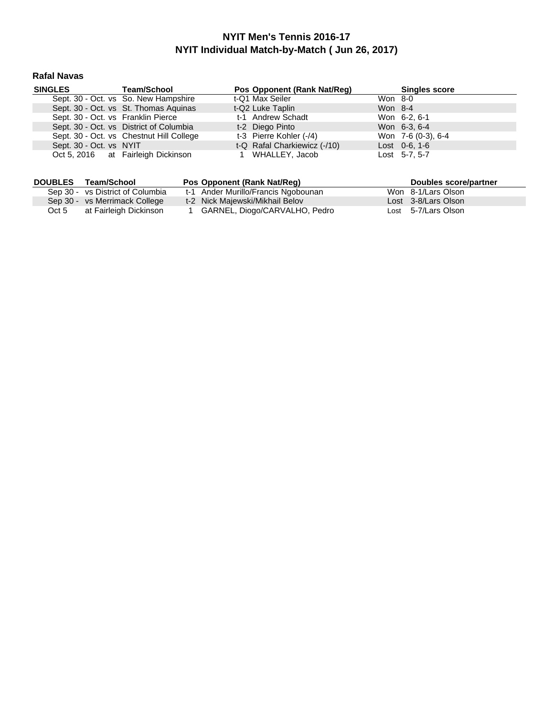#### **Rafal Navas**

| <b>SINGLES</b>                     | <b>Team/School</b>                       | Pos Opponent (Rank Nat/Req)  |         | <b>Singles score</b> |
|------------------------------------|------------------------------------------|------------------------------|---------|----------------------|
|                                    | Sept. 30 - Oct. vs So. New Hampshire     | t-Q1 Max Seiler              | Won 8-0 |                      |
|                                    | Sept. 30 - Oct. vs St. Thomas Aquinas    | t-Q2 Luke Taplin             | Won 8-4 |                      |
| Sept. 30 - Oct. vs Franklin Pierce |                                          | t-1 Andrew Schadt            |         | Won 6-2, 6-1         |
|                                    | Sept. 30 - Oct. vs District of Columbia  | t-2 Diego Pinto              |         | Won 6-3, 6-4         |
|                                    | Sept. 30 - Oct. vs Chestnut Hill College | t-3 Pierre Kohler (-/4)      |         | Won 7-6 (0-3), 6-4   |
| Sept. 30 - Oct. vs NYIT            |                                          | t-Q Rafal Charkiewicz (-/10) |         | Lost $0-6$ , 1-6     |
|                                    | Oct 5, 2016 at Fairleigh Dickinson       | WHALLEY, Jacob               |         | Lost 5-7, 5-7        |

| <b>DOUBLES</b> | Team/School                      | Pos Opponent (Rank Nat/Req)         | Doubles score/partner |
|----------------|----------------------------------|-------------------------------------|-----------------------|
|                | Sep 30 - vs District of Columbia | t-1 Ander Murillo/Francis Ngobounan | Won 8-1/Lars Olson    |
|                | Sep 30 - vs Merrimack College    | t-2 Nick Majewski/Mikhail Belov     | Lost 3-8/Lars Olson   |
| Oct 5          | at Fairleigh Dickinson           | GARNEL, Diogo/CARVALHO, Pedro       | Lost 5-7/Lars Olson   |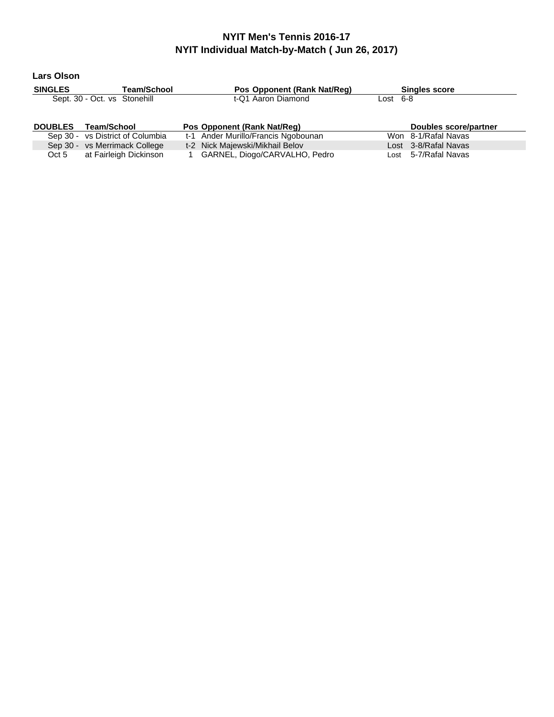**Lars Olson**

| <b>SINGLES</b> | <b>Team/School</b>               | Pos Opponent (Rank Nat/Req)         | <b>Singles score</b>  |
|----------------|----------------------------------|-------------------------------------|-----------------------|
|                | Sept. 30 - Oct. vs Stonehill     | t-Q1 Aaron Diamond                  | Lost 6-8              |
|                |                                  |                                     |                       |
|                |                                  |                                     |                       |
| <b>DOUBLES</b> | <b>Team/School</b>               | Pos Opponent (Rank Nat/Req)         | Doubles score/partner |
|                | Sep 30 - vs District of Columbia | t-1 Ander Murillo/Francis Ngobounan | Won 8-1/Rafal Navas   |
|                | Sep 30 - vs Merrimack College    | t-2 Nick Majewski/Mikhail Belov     | Lost 3-8/Rafal Navas  |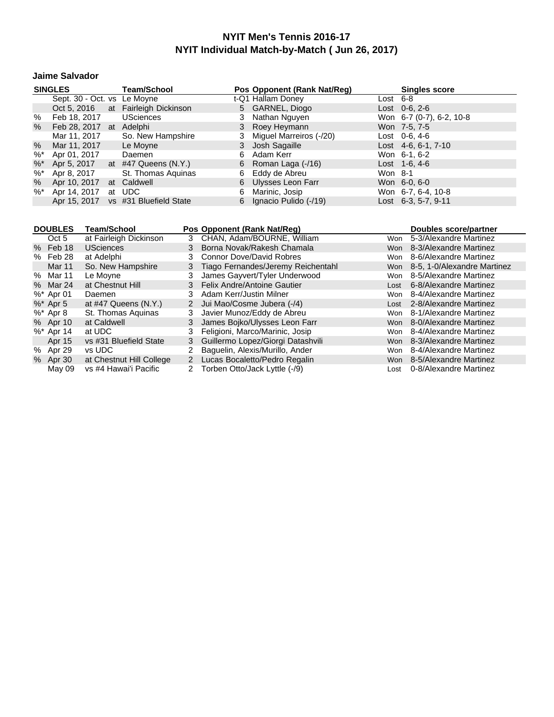#### **Jaime Salvador**

|        | <b>SINGLES</b>              | <b>Team/School</b>                  |    | Pos Opponent (Rank Nat/Reg) |          | <b>Singles score</b>     |
|--------|-----------------------------|-------------------------------------|----|-----------------------------|----------|--------------------------|
|        | Sept. 30 - Oct. vs Le Moyne |                                     |    | t-Q1 Hallam Doney           | Lost 6-8 |                          |
|        |                             | Oct 5, 2016 at Fairleigh Dickinson  |    | 5 GARNEL, Diogo             |          | $Last 0-6, 2-6$          |
| %      | Feb 18, 2017                | <b>USciences</b>                    |    | Nathan Nguyen               |          | Won 6-7 (0-7), 6-2, 10-8 |
| %      | Feb 28, 2017 at Adelphi     |                                     |    | 3 Roey Heymann              |          | Won 7-5, 7-5             |
|        | Mar 11, 2017                | So. New Hampshire                   |    | Miguel Marreiros (-/20)     |          | Lost $0-6, 4-6$          |
| $\%$   | Mar 11, 2017                | Le Moyne                            | 3  | Josh Sagaille               |          | Lost $4-6, 6-1, 7-10$    |
| $%^*$  | Apr 01, 2017                | Daemen                              | 6. | Adam Kerr                   |          | Won 6-1, 6-2             |
| $%^*$  | Apr 5, 2017                 | at $#47$ Queens $(N.Y.)$            |    | 6 Roman Laga $(-/16)$       |          | Lost $1-6, 4-6$          |
| $%^*$  | Apr 8, 2017                 | St. Thomas Aguinas                  |    | 6 Eddy de Abreu             | Won 8-1  |                          |
| $\%$   | Apr 10, 2017                | at Caldwell                         |    | 6 Ulysses Leon Farr         |          | Won 6-0, 6-0             |
| $\%^*$ | Apr 14, 2017                | at UDC                              | 6. | Marinic, Josip              |          | Won 6-7, 6-4, 10-8       |
|        |                             | Apr 15, 2017 vs #31 Bluefield State |    | 6 Ignacio Pulido (-/19)     |          | Lost 6-3, 5-7, 9-11      |

| <b>DOUBLES</b> | <b>Team/School</b>        |   | Pos Opponent (Rank Nat/Req)         |            | Doubles score/partner       |
|----------------|---------------------------|---|-------------------------------------|------------|-----------------------------|
| Oct 5          | at Fairleigh Dickinson    |   | 3 CHAN, Adam/BOURNE, William        | Won        | 5-3/Alexandre Martinez      |
| % Feb 18       | <b>USciences</b>          |   | 3 Borna Novak/Rakesh Chamala        | <b>Won</b> | 8-3/Alexandre Martinez      |
| % Feb 28       | at Adelphi                | 3 | <b>Connor Dove/David Robres</b>     | Won        | 8-6/Alexandre Martinez      |
| Mar 11         | So. New Hampshire         | 3 | Tiago Fernandes/Jeremy Reichentahl  | Won        | 8-5, 1-0/Alexandre Martinez |
| % Mar 11       | Le Moyne                  | 3 | James Gayvert/Tyler Underwood       | Won        | 8-5/Alexandre Martinez      |
| % Mar 24       | at Chestnut Hill          |   | 3 Felix Andre/Antoine Gautier       | Lost       | 6-8/Alexandre Martinez      |
| $%$ * Apr 01   | Daemen                    | 3 | Adam Kerr/Justin Milner             | Won        | 8-4/Alexandre Martinez      |
| $\%^*$ Apr 5   | at $\#47$ Queens $(N.Y.)$ |   | 2 Jui Mao/Cosme Jubera (-/4)        | Lost       | 2-8/Alexandre Martinez      |
| %* Apr 8       | St. Thomas Aguinas        | 3 | Javier Munoz/Eddy de Abreu          | Won        | 8-1/Alexandre Martinez      |
| % Apr 10       | at Caldwell               | 3 | James Bojko/Ulysses Leon Farr       | Won        | 8-0/Alexandre Martinez      |
| $%$ * Apr 14   | at UDC                    | 3 | Feligioni, Marco/Marinic, Josip     | Won        | 8-4/Alexandre Martinez      |
| Apr 15         | vs #31 Bluefield State    |   | 3 Guillermo Lopez/Giorgi Datashvili | <b>Won</b> | 8-3/Alexandre Martinez      |
| % Apr 29       | vs UDC                    | 2 | Baquelin, Alexis/Murillo, Ander     | Won        | 8-4/Alexandre Martinez      |
| % Apr 30       | at Chestnut Hill College  |   | 2 Lucas Bocaletto/Pedro Regalin     | Won        | 8-5/Alexandre Martinez      |
| May 09         | vs #4 Hawai'i Pacific     |   | Torben Otto/Jack Lyttle (-/9)       | Lost       | 0-8/Alexandre Martinez      |